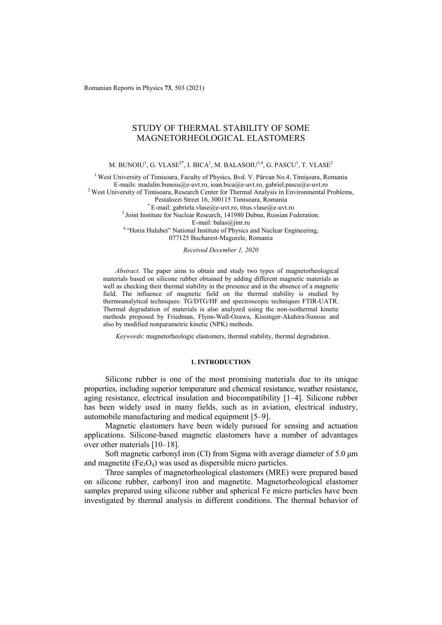Romanian Reports in Physics **73**, 503 (2021)

# STUDY OF THERMAL STABILITY OF SOME MAGNETORHEOLOGICAL ELASTOMERS

M. BUNOIU $^1$ , G. VLASE $^{2^\ast}$ , I. BICA $^1$ , M. BALASOIU $^{3,4}$ , G. PASCU $^1$ , T. VLASE $^2$ 

<sup>1</sup> West University of Timisoara, Faculty of Physics, Bvd. V. Pârvan No.4, Timișoara, Romania E-mails: madalin.bunoiu@e-uvt.ro, ioan.bica@e-uvt.ro, gabriel.pascu@e-uvt.ro  $2$  West University of Timisoara, Research Center for Thermal Analysis in Environmental Problems, Pestalozzi Street 16, 300115 Timisoara, Romania<br>
<sup>3</sup> Joint Institute for Nuclear Research, 141980 Dubna, Russian Federation. E-mail: balas@jinr.ru 4 "Horia Hulubei" National Institute of Physics and Nuclear Engineering, 077125 Bucharest-Magurele, Romania

*Received December 1, 2020* 

*Abstract*. The paper aims to obtain and study two types of magnetorheological materials based on silicone rubber obtained by adding different magnetic materials as well as checking their thermal stability in the presence and in the absence of a magnetic field. The influence of magnetic field on the thermal stability is studied by thermoanalytical techniques: TG/DTG/HF and spectroscopic techniques FTIR-UATR. Thermal degradation of materials is also analyzed using the non-isothermal kinetic methods proposed by Friedman, Flynn-Wall-Ozawa, Kissinger-Akahira-Sunose and also by modified nonparametric kinetic (NPK) methods.

*Keywords*: magnetorheologic elastomers, thermal stability, thermal degradation.

## **1. INTRODUCTION**

Silicone rubber is one of the most promising materials due to its unique properties, including superior temperature and chemical resistance, weather resistance, aging resistance, electrical insulation and biocompatibility [1–4]. Silicone rubber has been widely used in many fields, such as in aviation, electrical industry, automobile manufacturing and medical equipment [5–9].

Magnetic elastomers have been widely pursued for sensing and actuation applications. Silicone-based magnetic elastomers have a number of advantages over other materials [10–18].

Soft magnetic carbonyl iron (CI) from Sigma with average diameter of 5.0 um and magnetite  $(Fe<sub>3</sub>O<sub>4</sub>)$  was used as dispersible micro particles.

Three samples of magnetorheological elastomers (MRE) were prepared based on silicone rubber, carbonyl iron and magnetite. Magnetorheological elastomer samples prepared using silicone rubber and spherical Fe micro particles have been investigated by thermal analysis in different conditions. The thermal behavior of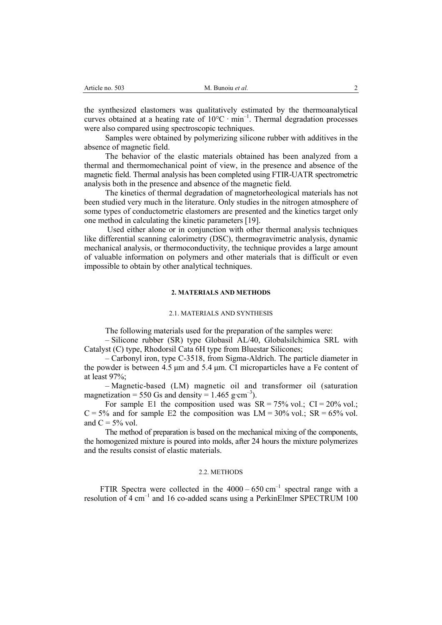|  | Article no. 503 |  |  |
|--|-----------------|--|--|
|--|-----------------|--|--|

the synthesized elastomers was qualitatively estimated by the thermoanalytical curves obtained at a heating rate of  $10^{\circ}$ C · min<sup>-1</sup>. Thermal degradation processes were also compared using spectroscopic techniques.

Samples were obtained by polymerizing silicone rubber with additives in the absence of magnetic field.

The behavior of the elastic materials obtained has been analyzed from a thermal and thermomechanical point of view, in the presence and absence of the magnetic field. Thermal analysis has been completed using FTIR-UATR spectrometric analysis both in the presence and absence of the magnetic field.

The kinetics of thermal degradation of magnetorheological materials has not been studied very much in the literature. Only studies in the nitrogen atmosphere of some types of conductometric elastomers are presented and the kinetics target only one method in calculating the kinetic parameters [19].

 Used either alone or in conjunction with other thermal analysis techniques like differential scanning calorimetry (DSC), thermogravimetric analysis, dynamic mechanical analysis, or thermoconductivity, the technique provides a large amount of valuable information on polymers and other materials that is difficult or even impossible to obtain by other analytical techniques.

## **2. MATERIALS AND METHODS**

### 2.1. MATERIALS AND SYNTHESIS

The following materials used for the preparation of the samples were:

– Silicone rubber (SR) type Globasil AL/40, Globalsilchimica SRL with Catalyst (C) type, Rhodorsil Cata 6H type from Bluestar Silicones;

– Carbonyl iron, type C-3518, from Sigma-Aldrich. The particle diameter in the powder is between 4.5 μm and 5.4 μm. CI microparticles have a Fe content of at least 97%;

– Magnetic-based (LM) magnetic oil and transformer oil (saturation magnetization = 550 Gs and density =  $1.465$  g⋅cm<sup>-3</sup>).

For sample E1 the composition used was  $SR = 75\%$  vol.;  $CI = 20\%$  vol.;  $C = 5\%$  and for sample E2 the composition was LM = 30% vol.; SR = 65% vol. and  $C = 5\%$  vol.

The method of preparation is based on the mechanical mixing of the components, the homogenized mixture is poured into molds, after 24 hours the mixture polymerizes and the results consist of elastic materials.

#### 2.2. METHODS

FTIR Spectra were collected in the  $4000 - 650$  cm<sup>-1</sup> spectral range with a resolution of 4 cm<sup>-1</sup> and 16 co-added scans using a PerkinElmer SPECTRUM 100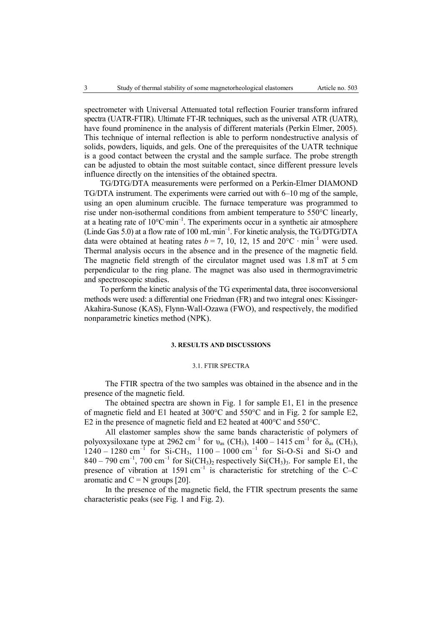spectrometer with Universal Attenuated total reflection Fourier transform infrared spectra (UATR-FTIR). Ultimate FT-IR techniques, such as the universal ATR (UATR), have found prominence in the analysis of different materials (Perkin Elmer, 2005). This technique of internal reflection is able to perform nondestructive analysis of solids, powders, liquids, and gels. One of the prerequisites of the UATR technique is a good contact between the crystal and the sample surface. The probe strength can be adjusted to obtain the most suitable contact, since different pressure levels influence directly on the intensities of the obtained spectra.

TG/DTG/DTA measurements were performed on a Perkin-Elmer DIAMOND TG/DTA instrument. The experiments were carried out with 6–10 mg of the sample, using an open aluminum crucible. The furnace temperature was programmed to rise under non-isothermal conditions from ambient temperature to 550°C linearly, at a heating rate of 10°C∙min–1. The experiments occur in a synthetic air atmosphere (Linde Gas 5.0) at a flow rate of 100 mL∙min–1. For kinetic analysis, the TG/DTG/DTA data were obtained at heating rates  $b = 7$ , 10, 12, 15 and  $20^{\circ}$ C · min<sup>-1</sup> were used. Thermal analysis occurs in the absence and in the presence of the magnetic field. The magnetic field strength of the circulator magnet used was 1.8 mT at 5 cm perpendicular to the ring plane. The magnet was also used in thermogravimetric and spectroscopic studies.

To perform the kinetic analysis of the TG experimental data, three isoconversional methods were used: a differential one Friedman (FR) and two integral ones: Kissinger-Akahira-Sunose (KAS), Flynn-Wall-Ozawa (FWO), and respectively, the modified nonparametric kinetics method (NPK).

#### **3. RESULTS AND DISCUSSIONS**

#### 3.1. FTIR SPECTRA

The FTIR spectra of the two samples was obtained in the absence and in the presence of the magnetic field.

The obtained spectra are shown in Fig. 1 for sample E1, E1 in the presence of magnetic field and E1 heated at  $300^{\circ}$ C and  $550^{\circ}$ C and in Fig. 2 for sample E2, E2 in the presence of magnetic field and E2 heated at 400°C and 550°C.

All elastomer samples show the same bands characteristic of polymers of polyoxysiloxane type at 2962 cm<sup>-1</sup> for  $v_{as}$  (CH<sub>3</sub>), 1400 – 1415 cm<sup>-1</sup> for  $\delta_{as}$  (CH<sub>3</sub>),  $1240 - 1280$  cm<sup>-1</sup> for Si-CH<sub>3</sub>,  $1100 - 1000$  cm<sup>-1</sup> for Si-O-Si and Si-O and  $840 - 790$  cm<sup>-1</sup>,  $700$  cm<sup>-1</sup> for Si(CH<sub>3</sub>)<sub>2</sub> respectively Si(CH<sub>3</sub>)<sub>3</sub>. For sample E1, the presence of vibration at  $1591 \text{ cm}^{-1}$  is characteristic for stretching of the C–C aromatic and  $C = N$  groups [20].

In the presence of the magnetic field, the FTIR spectrum presents the same characteristic peaks (see Fig. 1 and Fig. 2).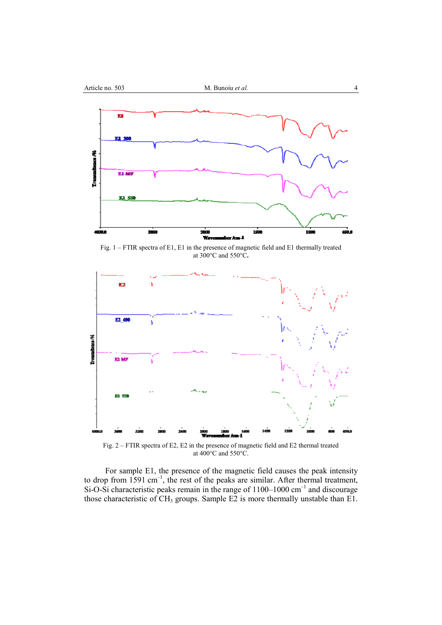

Fig. 1 – FTIR spectra of E1, E1 in the presence of magnetic field and E1 thermally treated at 300°C and 550°C**.** 



Fig. 2 – FTIR spectra of E2, E2 in the presence of magnetic field and E2 thermal treated at 400°C and 550°C.

For sample E1, the presence of the magnetic field causes the peak intensity to drop from  $1591 \text{ cm}^{-1}$ , the rest of the peaks are similar. After thermal treatment, Si-O-Si characteristic peaks remain in the range of  $1100-1000$  cm<sup>-1</sup> and discourage those characteristic of  $CH_3$  groups. Sample E2 is more thermally unstable than E1.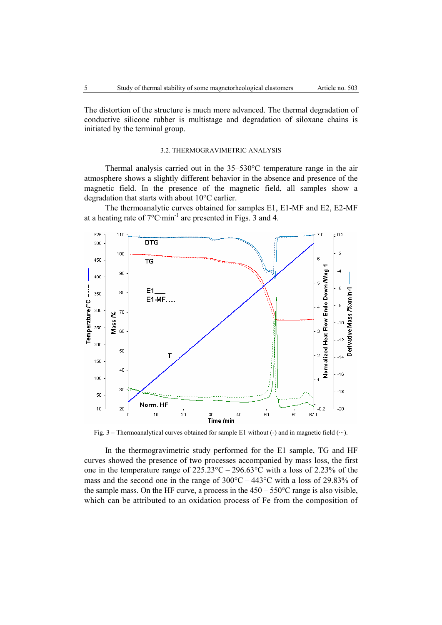The distortion of the structure is much more advanced. The thermal degradation of conductive silicone rubber is multistage and degradation of siloxane chains is initiated by the terminal group.

## 3.2. THERMOGRAVIMETRIC ANALYSIS

Thermal analysis carried out in the 35–530°C temperature range in the air atmosphere shows a slightly different behavior in the absence and presence of the magnetic field. In the presence of the magnetic field, all samples show a degradation that starts with about 10°C earlier.

The thermoanalytic curves obtained for samples E1, E1-MF and E2, E2-MF at a heating rate of 7°C∙min-1 are presented in Figs. 3 and 4.



Fig. 3 – Thermoanalytical curves obtained for sample E1 without (-) and in magnetic field (∙∙∙).

In the thermogravimetric study performed for the E1 sample, TG and HF curves showed the presence of two processes accompanied by mass loss, the first one in the temperature range of  $225.23^{\circ}\text{C} - 296.63^{\circ}\text{C}$  with a loss of 2.23% of the mass and the second one in the range of  $300^{\circ}$ C – 443<sup>o</sup>C with a loss of 29.83% of the sample mass. On the HF curve, a process in the  $450 - 550^{\circ}$ C range is also visible, which can be attributed to an oxidation process of Fe from the composition of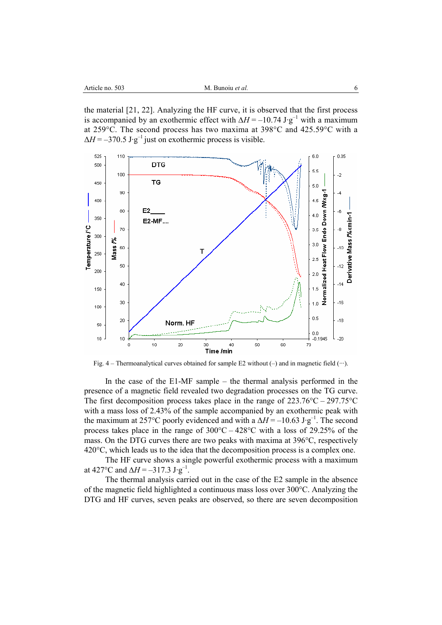the material [21, 22]. Analyzing the HF curve, it is observed that the first process is accompanied by an exothermic effect with  $\Delta H = -10.74 \text{ J} \cdot \text{g}^{-1}$  with a maximum at 259°C. The second process has two maxima at 398°C and 425.59°C with a  $\Delta H = -370.5 \mathrm{J} \cdot \mathrm{g}^{-1}$  just on exothermic process is visible.



Fig. 4 – Thermoanalytical curves obtained for sample E2 without (–) and in magnetic field (∙∙∙).

In the case of the E1-MF sample – the thermal analysis performed in the presence of a magnetic field revealed two degradation processes on the TG curve. The first decomposition process takes place in the range of  $223.76^{\circ}C - 297.75^{\circ}C$ with a mass loss of 2.43% of the sample accompanied by an exothermic peak with the maximum at 257°C poorly evidenced and with a  $\Delta H = -10.63 \text{ J} \cdot \text{g}^{-1}$ . The second process takes place in the range of  $300^{\circ}$ C –  $428^{\circ}$ C with a loss of 29.25% of the mass. On the DTG curves there are two peaks with maxima at 396°C, respectively 420°C, which leads us to the idea that the decomposition process is a complex one.

The HF curve shows a single powerful exothermic process with a maximum at 427°C and  $\Delta H = -317.3 \text{ J} \cdot \text{g}^{-1}$ .

The thermal analysis carried out in the case of the E2 sample in the absence of the magnetic field highlighted a continuous mass loss over 300°C. Analyzing the DTG and HF curves, seven peaks are observed, so there are seven decomposition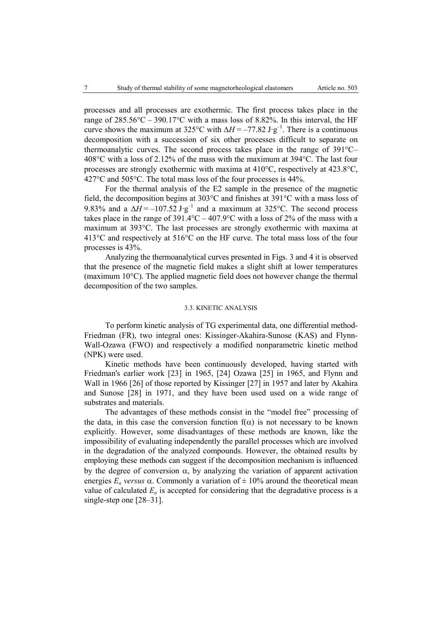processes and all processes are exothermic. The first process takes place in the range of  $285.56^{\circ}\text{C} - 390.17^{\circ}\text{C}$  with a mass loss of 8.82%. In this interval, the HF curve shows the maximum at 325°C with  $\Delta H = -77.82 \text{ J} \cdot \text{g}^{-1}$ . There is a continuous decomposition with a succession of six other processes difficult to separate on thermoanalytic curves. The second process takes place in the range of 391°C– 408°C with a loss of 2.12% of the mass with the maximum at 394°C. The last four processes are strongly exothermic with maxima at 410°C, respectively at 423.8°C, 427°C and 505°C. The total mass loss of the four processes is 44%.

For the thermal analysis of the E2 sample in the presence of the magnetic field, the decomposition begins at 303°C and finishes at 391°C with a mass loss of 9.83% and a  $\overline{\Delta H}$  = –107.52 J⋅g<sup>-1</sup> and a maximum at 325°C. The second process takes place in the range of  $391.4^{\circ}\text{C} - 407.9^{\circ}\text{C}$  with a loss of 2% of the mass with a maximum at 393°C. The last processes are strongly exothermic with maxima at  $413^{\circ}$ C and respectively at  $516^{\circ}$ C on the HF curve. The total mass loss of the four processes is 43%.

Analyzing the thermoanalytical curves presented in Figs. 3 and 4 it is observed that the presence of the magnetic field makes a slight shift at lower temperatures (maximum 10°C). The applied magnetic field does not however change the thermal decomposition of the two samples.

#### 3.3. KINETIC ANALYSIS

To perform kinetic analysis of TG experimental data, one differential method-Friedman (FR), two integral ones: Kissinger-Akahira-Sunose (KAS) and Flynn-Wall-Ozawa (FWO) and respectively a modified nonparametric kinetic method (NPK) were used.

Kinetic methods have been continuously developed, having started with Friedman's earlier work [23] in 1965, [24] Ozawa [25] in 1965, and Flynn and Wall in 1966 [26] of those reported by Kissinger [27] in 1957 and later by Akahira and Sunose [28] in 1971, and they have been used used on a wide range of substrates and materials.

The advantages of these methods consist in the "model free" processing of the data, in this case the conversion function  $f(\alpha)$  is not necessary to be known explicitly. However, some disadvantages of these methods are known, like the impossibility of evaluating independently the parallel processes which are involved in the degradation of the analyzed compounds. However, the obtained results by employing these methods can suggest if the decomposition mechanism is influenced by the degree of conversion  $\alpha$ , by analyzing the variation of apparent activation energies  $E_a$  *versus*  $\alpha$ . Commonly a variation of  $\pm$  10% around the theoretical mean value of calculated  $E_a$  is accepted for considering that the degradative process is a single-step one [28–31].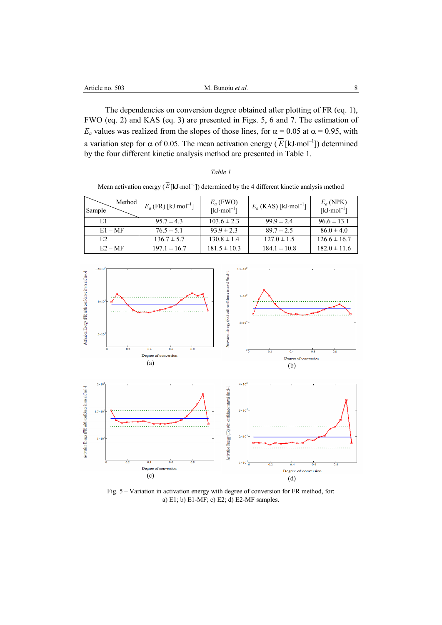The dependencies on conversion degree obtained after plotting of FR (eq. 1), FWO (eq. 2) and KAS (eq. 3) are presented in Figs. 5, 6 and 7. The estimation of  $E_a$  values was realized from the slopes of those lines, for  $\alpha = 0.05$  at  $\alpha = 0.95$ , with a variation step for  $\alpha$  of 0.05. The mean activation energy ( $\overline{E}$  [kJ·mol<sup>-1</sup>]) determined by the four different kinetic analysis method are presented in Table 1.

## *Table 1*

Mean activation energy  $(\overline{E}$ [kJ·mol<sup>-1</sup>]) determined by the 4 different kinetic analysis method

| Method<br>Sample | $E_a$ (FR) [kJ·mol <sup>-1</sup> ] | $E_a$ (FWO)<br>$[kJ \cdot mol^{-1}]$ | $E_a$ (KAS) [kJ·mol <sup>-1</sup> ] | $E_a$ (NPK)<br>$[kJ·mol-1]$ |
|------------------|------------------------------------|--------------------------------------|-------------------------------------|-----------------------------|
| E1               | $95.7 \pm 4.3$                     | $103.6 \pm 2.3$                      | $99.9 \pm 2.4$                      | $96.6 \pm 13.1$             |
| $E1 - MF$        | $76.5 \pm 5.1$                     | $93.9 \pm 2.3$                       | $89.7 \pm 2.5$                      | $86.0 \pm 4.0$              |
| E2               | $136.7 \pm 5.7$                    | $130.8 \pm 1.4$                      | $127.0 \pm 1.5$                     | $126.6 \pm 16.7$            |
| $E2 - MF$        | $197.1 \pm 16.7$                   | $181.5 \pm 10.3$                     | $184.1 \pm 10.8$                    | $182.0 \pm 11.6$            |



Fig. 5 – Variation in activation energy with degree of conversion for FR method, for: a) E1; b) E1-MF; c) E2; d) E2-MF samples.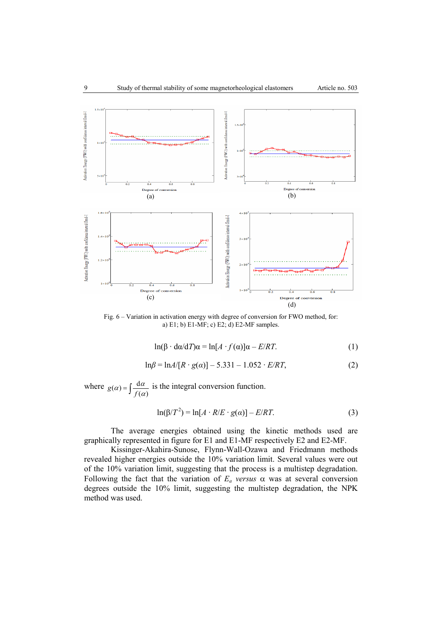

Fig. 6 – Variation in activation energy with degree of conversion for FWO method, for: a) E1; b) E1-MF; c) E2; d) E2-MF samples.

$$
\ln(\beta \cdot d\alpha/dT)\alpha = \ln[A \cdot f(\alpha)]\alpha - E/RT.
$$
 (1)

$$
\ln \beta = \ln A/[R \cdot g(\alpha)] - 5.331 - 1.052 \cdot E/RT, \tag{2}
$$

where  $g(\alpha) = \int \frac{d\alpha}{f(\alpha)}$  is the integral conversion function.

$$
\ln(\beta/T^2) = \ln[A \cdot R/E \cdot g(\alpha)] - E/RT. \tag{3}
$$

The average energies obtained using the kinetic methods used are graphically represented in figure for E1 and E1-MF respectively E2 and E2-MF.

Kissinger-Akahira-Sunose, Flynn-Wall-Ozawa and Friedmann methods revealed higher energies outside the 10% variation limit. Several values were out of the 10% variation limit, suggesting that the process is a multistep degradation. Following the fact that the variation of  $E_a$  versus  $\alpha$  was at several conversion degrees outside the 10% limit, suggesting the multistep degradation, the NPK method was used.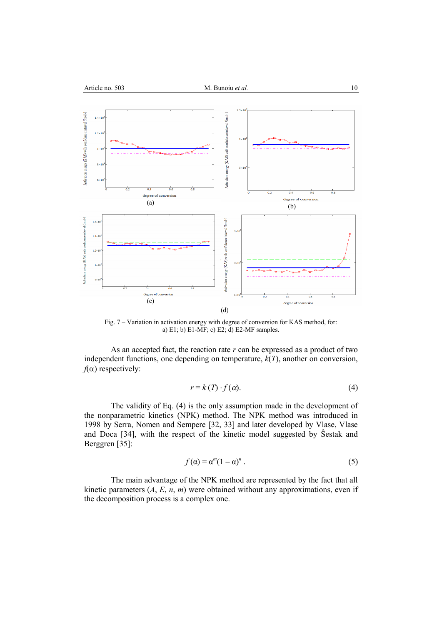

Fig. 7 – Variation in activation energy with degree of conversion for KAS method, for: a) E1; b) E1-MF; c) E2; d) E2-MF samples.

As an accepted fact, the reaction rate *r* can be expressed as a product of two independent functions, one depending on temperature, *k*(*T*), another on conversion,  $f(\alpha)$  respectively:

$$
r = k(T) \cdot f(\alpha). \tag{4}
$$

The validity of Eq. (4) is the only assumption made in the development of the nonparametric kinetics (NPK) method. The NPK method was introduced in 1998 by Serra, Nomen and Sempere [32, 33] and later developed by Vlase, Vlase and Doca [34], with the respect of the kinetic model suggested by Ŝestak and Berggren [35]:

$$
f(\alpha) = \alpha^m (1 - \alpha)^n. \tag{5}
$$

The main advantage of the NPK method are represented by the fact that all kinetic parameters  $(A, E, n, m)$  were obtained without any approximations, even if the decomposition process is a complex one.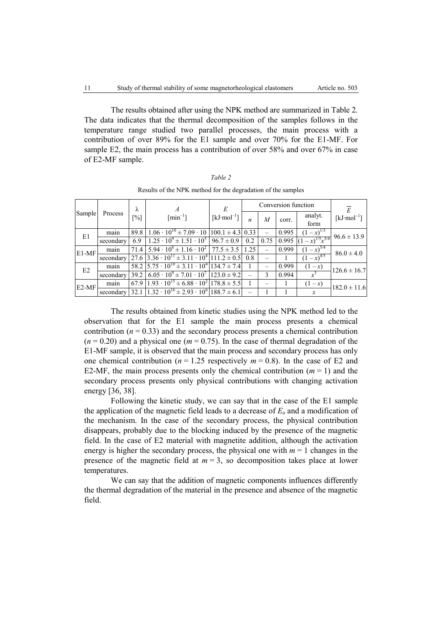The results obtained after using the NPK method are summarized in Table 2. The data indicates that the thermal decomposition of the samples follows in the temperature range studied two parallel processes, the main process with a contribution of over 89% for the E1 sample and over 70% for the E1-MF. For sample E2, the main process has a contribution of over 58% and over 67% in case of E2-MF sample.

|         |           | λ    | А                                                                   | E                       |     |      | Conversion function |                      | $\overline{E}$   |
|---------|-----------|------|---------------------------------------------------------------------|-------------------------|-----|------|---------------------|----------------------|------------------|
| Sample  | Process   | [%]  | $[\text{min}^{-1}]$                                                 | [ $kJ \cdot mol^{-1}$ ] |     | M    | corr.               | analyt.<br>form      | $[kJ·mol-1]$     |
| E1      | main      | 89.8 | $1.06 \cdot 10^{10} \pm 7.09 \cdot 10 \mid 100.1 \pm 4.3 \mid 0.33$ |                         |     |      | 0.995               | $(1-x)^{1/3}$        | $96.6 \pm 13.9$  |
|         | secondary | 6.9  | $1.25 \cdot 10^{9} \pm 1.51 \cdot 10^{5}$ 96.7 ± 0.9                |                         | 0.2 | 0.75 | 0.995               | $(x-x)^{1/5}x^{3/4}$ |                  |
| $E1-MF$ | main      | 71.4 | $5.94 \cdot 10^8 \pm 1.16 \cdot 10^2$   $77.5 \pm 3.5$   1.25       |                         |     |      | 0.999               | $(1-x)^{5/4}$        | $86.0 \pm 4.0$   |
|         | secondary |      | 27.6 3.36 $\cdot 10^{11} \pm 3.11 \cdot 10^{4}$ 111.2 $\pm 0.5$ 0.8 |                         |     |      |                     | $1 - x)^{4/5}$       |                  |
| E2      | main      |      | $58.2$ $5.75 \cdot 10^{10} \pm 3.11 \cdot 10^{4}$ 134.7 $\pm$ 7.4   |                         |     |      | 0.999               | $(1 - x)$            | $126.6 \pm 16.7$ |
|         | secondary | 39.2 | $6.05 \cdot 10^{9} \pm 7.01 \cdot 10^{7}$   123.0 $\pm$ 9.2         |                         |     |      | 0.994               |                      |                  |
| $E2-MF$ | main      | 67.9 | $1.93 \cdot 10^{15} \pm 6.88 \cdot 10^{2}$ 178.8 $\pm$ 5.5          |                         |     |      |                     | $(1 - x)$            | $182.0 \pm 11.6$ |
|         | secondary | 32.1 | $\frac{1.32 \cdot 10^{16} \pm 2.93 \cdot 10^{6}}{188.7 \pm 6.1}$    |                         |     |      |                     | x                    |                  |

Results of the NPK method for the degradation of the samples

The results obtained from kinetic studies using the NPK method led to the observation that for the E1 sample the main process presents a chemical contribution  $(n = 0.33)$  and the secondary process presents a chemical contribution  $(n = 0.20)$  and a physical one  $(m = 0.75)$ . In the case of thermal degradation of the E1-MF sample, it is observed that the main process and secondary process has only one chemical contribution ( $n = 1.25$  respectively  $m = 0.8$ ). In the case of E2 and E2-MF, the main process presents only the chemical contribution  $(m = 1)$  and the secondary process presents only physical contributions with changing activation energy [36, 38].

Following the kinetic study, we can say that in the case of the E1 sample the application of the magnetic field leads to a decrease of  $E_a$  and a modification of the mechanism. In the case of the secondary process, the physical contribution disappears, probably due to the blocking induced by the presence of the magnetic field. In the case of E2 material with magnetite addition, although the activation energy is higher the secondary process, the physical one with  $m = 1$  changes in the presence of the magnetic field at  $m = 3$ , so decomposition takes place at lower temperatures.

We can say that the addition of magnetic components influences differently the thermal degradation of the material in the presence and absence of the magnetic field.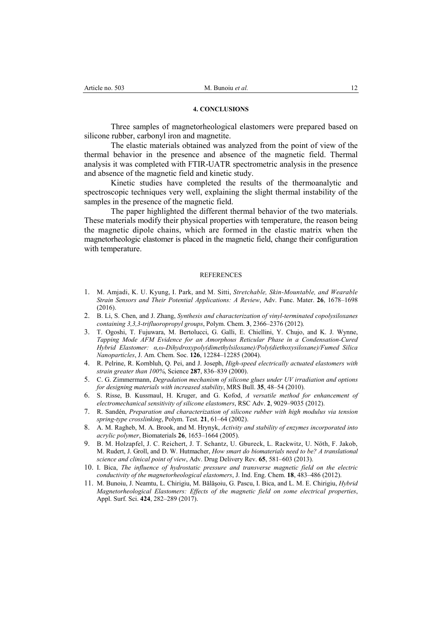#### **4. CONCLUSIONS**

Three samples of magnetorheological elastomers were prepared based on silicone rubber, carbonyl iron and magnetite.

The elastic materials obtained was analyzed from the point of view of the thermal behavior in the presence and absence of the magnetic field. Thermal analysis it was completed with FTIR-UATR spectrometric analysis in the presence and absence of the magnetic field and kinetic study.

Kinetic studies have completed the results of the thermoanalytic and spectroscopic techniques very well, explaining the slight thermal instability of the samples in the presence of the magnetic field.

The paper highlighted the different thermal behavior of the two materials. These materials modify their physical properties with temperature, the reason being the magnetic dipole chains, which are formed in the elastic matrix when the magnetorheologic elastomer is placed in the magnetic field, change their configuration with temperature.

#### **REFERENCES**

- 1. M. Amjadi, K. U. Kyung, I. Park, and M. Sitti, *Stretchable, Skin‐Mountable, and Wearable Strain Sensors and Their Potential Applications: A Review*, Adv. Func. Mater. **26**, 1678–1698 (2016).
- 2. B. Li, S. Chen, and J. Zhang, *Synthesis and characterization of vinyl-terminated copolysiloxanes containing 3,3,3-trifluoropropyl groups*, Polym. Chem. **3**, 2366–2376 (2012).
- 3. T. Ogoshi, T. Fujuwara, M. Bertolucci, G. Galli, E. Chiellini, Y. Chujo, and K. J. Wynne, *Tapping Mode AFM Evidence for an Amorphous Reticular Phase in a Condensation-Cured Hybrid Elastomer: α,ω-Dihydroxypoly(dimethylsiloxane)/Poly(diethoxysiloxane)/Fumed Silica Nanoparticles*, J. Am. Chem. Soc. **126**, 12284–12285 (2004).
- 4. R. Pelrine, R. Kornbluh, Q. Pei, and J. Joseph, *High-speed electrically actuated elastomers with strain greater than 100%*, Science **287**, 836–839 (2000).
- 5. C. G. Zimmermann, *Degradation mechanism of silicone glues under UV irradiation and options for designing materials with increased stability*, MRS Bull. **35**, 48–54 (2010).
- 6. S. Risse, B. Kussmaul, H. Kruger, and G. Kofod, *A versatile method for enhancement of electromechanical sensitivity of silicone elastomers*, RSC Adv. **2**, 9029–9035 (2012).
- 7. R. Sandén, *Preparation and characterization of silicone rubber with high modulus via tension spring-type crosslinking*, Polym. Test. **21**, 61–64 (2002).
- 8. A. M. Ragheb, M. A. Brook, and M. Hrynyk, *Activity and stability of enzymes incorporated into acrylic polymer*, Biomaterials **26**, 1653–1664 (2005).
- 9. B. M. Holzapfel, J. C. Reichert, J. T. Schantz, U. Gbureck, L. Rackwitz, U. Nöth, F. Jakob, M. Rudert, J. Groll, and D. W. Hutmacher, *How smart do biomaterials need to be? A translational science and clinical point of view*, Adv. Drug Delivery Rev. **65**, 581–603 (2013).
- 10. I. Bica, *The influence of hydrostatic pressure and transverse magnetic field on the electric conductivity of the magnetorheological elastomers*, J. Ind. Eng. Chem. **18**, 483–486 (2012).
- 11. M. Bunoiu, J. Neamtu, L. Chirigiu, M. Bălăşoiu, G. Pascu, I. Bica, and L. M. E. Chirigiu, *Hybrid Magnetorheological Elastomers: Effects of the magnetic field on some electrical properties*, Appl. Surf. Sci. **424**, 282–289 (2017).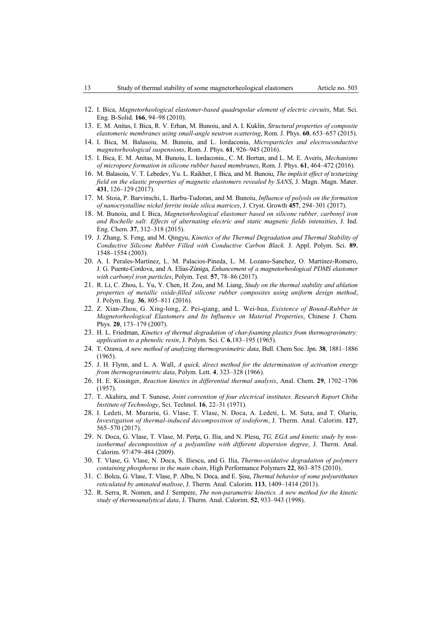- 12. I. Bica, *Magnetorheological elastomer-based quadrupolar element of electric circuits*, Mat. Sci. Eng. B-Solid. **166**, 94–98 (2010).
- 13. E. M. Anitas, I. Bica, R. V. Erhan, M. Bunoiu, and A. I. Kuklin, *Structural properties of composite elastomeric membranes using small-angle neutron scattering*, Rom. J. Phys. **60**, 653–657 (2015).
- 14. I. Bica, M. Balasoiu, M. Bunoiu, and L. Iordaconiu, *Microparticles and electroconductive magnetorheological suspensions*, Rom. J. Phys. **61**, 926–945 (2016).
- 15. I. Bica, E. M. Anitas, M. Bunoiu, L. Iordaconiu., C. M. Bortun, and L. M. E. Averis, *Mechanisms of micropore formation in silicone rubber based membranes*, Rom. J. Phys. **61**, 464–472 (2016).
- 16. M. Balasoiu, V. T. Lebedev, Yu. L. Raikher, I. Bica, and M. Bunoiu, *The implicit effect of texturizing field on the elastic properties of magnetic elastomers revealed by SANS*, J. Magn. Magn. Mater. **431**, 126–129 (2017).
- 17. M. Stoia, P. Barvinschi, L. Barbu-Tudoran, and M. Bunoiu, *Influence of polyols on the formation of nanocrystalline nickel ferrite inside silica matrices*, J. Cryst. Growth **457**, 294–301 (2017).
- 18. M. Bunoiu, and I. Bica, *Magnetorheological elastomer based on silicone rubber, carbonyl iron and Rochelle salt: Effects of alternating electric and static magnetic fields intensities*, J. Ind. Eng. Chem. **37**, 312–318 (2015).
- 19. J. Zhang, S. Feng, and M. Qingyu, *Kinetics of the Thermal Degradation and Thermal Stability of Conductive Silicone Rubber Filled with Conductive Carbon Black.* J. Appl. Polym. Sci. **89**, 1548–1554 (2003).
- 20. A. I. Perales-Martínez, L. M. Palacios-Pineda, L. M. Lozano-Sanchez, O. Martínez-Romero, J. G. Puente-Cordova, and A. Elías-Zúniga, *Enhancement of a magnetorheological PDMS elastomer with carbonyl iron particles*, Polym. Test. **57**, 78–86 (2017).
- 21. R. Li, C. Zhou, L. Yu, Y. Chen, H. Zou, and M. Liang, *Study on the thermal stability and ablation properties of metallic oxide-filled silicone rubber composites using uniform design method*, J. Polym. Eng. **36**, 805–811 (2016).
- 22. Z. Xian-Zhou, G. Xing-long, Z. Pei-qiang, and L. Wei-hua, *Existence of Bound-Rubber in Magnetorheological Elastomers and Its Influence on Material Properties*, Chinese J. Chem. Phys. **20**, 173–179 (2007).
- 23. H. L. Friedman, *Kinetics of thermal degradation of char-foaming plastics from thermogravimetry: application to a phenolic resin*, J. Polym. Sci. C **6**,183–195 (1965).
- 24. T. Ozawa, *A new method of analyzing thermogravimetric data*, Bull. Chem Soc. Jpn. **38**, 1881–1886 (1965).
- 25. J. H. Flynn, and L. A. Wall, *A quick, direct method for the determination of activation energy from thermogravimetric data*, Polym. Lett. **4**, 323–328 (1966).
- 26. H. E. Kissinger, *Reaction kinetics in differential thermal analysis*, Anal. Chem. **29**, 1702–1706 (1957).
- 27. T. Akahira, and T. Sunose, *Joint convention of four electrical institutes. Research Report Chiba Institute of Technology*, Sci. Technol. **16**, 22–31 (1971).
- 28. I. Ledeti, M. Murariu, G. Vlase, T. Vlase, N. Doca, A. Ledeti, L. M. Suta, and T. Olariu, *Investigation of thermal-induced decomposition of iodoform*, J. Therm. Anal. Calorim. **127**, 565–570 (2017).
- 29. N. Doca, G. Vlase, T. Vlase, M. Perţa, G. Ilia, and N. Plesu, *TG, EGA and kinetic study by nonisothermal decomposition of a polyaniline with different dispersion degree*, J. Therm. Anal. Calorim. 97:479–484 (2009).
- 30. T. Vlase, G. Vlase, N. Doca, S. Iliescu, and G. Ilia, *Thermo-oxidative degradation of polymers containing phosphorus in the main chain*, High Performance Polymers **22**, 863–875 (2010).
- 31. C. Bolcu, G. Vlase, T. Vlase, P. Albu, N. Doca, and E. Şisu, *Thermal behavior of some polyurethanes reticulated by aminated maltose*, J. Therm. Anal. Calorim. **113**, 1409–1414 (2013).
- 32. R. Serra, R. Nomen, and J. Sempere, *The non-parametric kinetics. A new method for the kinetic study of thermoanalytical data*, J. Therm. Anal. Calorim. **52**, 933–943 (1998).